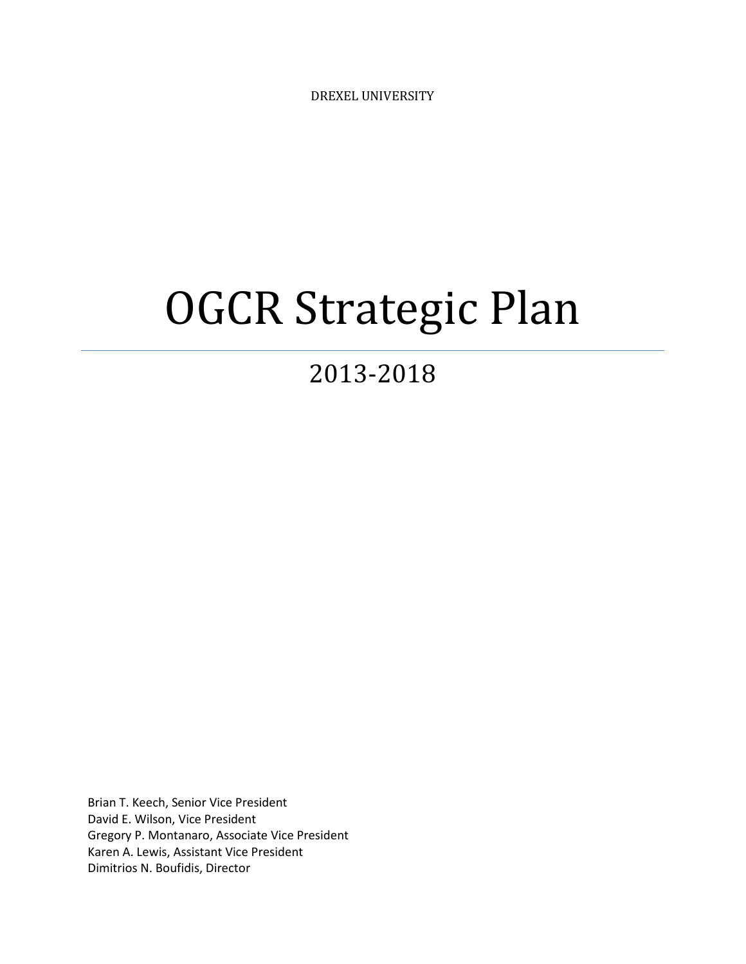DREXEL UNIVERSITY

# OGCR Strategic Plan

# 2013-2018

Brian T. Keech, Senior Vice President David E. Wilson, Vice President Gregory P. Montanaro, Associate Vice President Karen A. Lewis, Assistant Vice President Dimitrios N. Boufidis, Director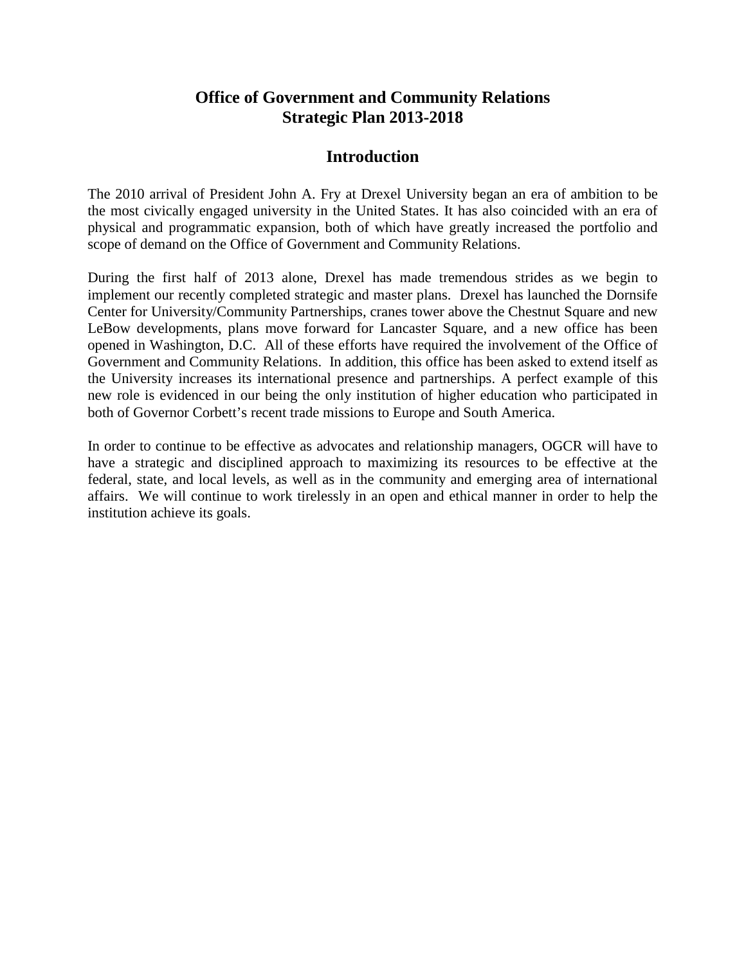#### **Office of Government and Community Relations Strategic Plan 2013-2018**

#### **Introduction**

The 2010 arrival of President John A. Fry at Drexel University began an era of ambition to be the most civically engaged university in the United States. It has also coincided with an era of physical and programmatic expansion, both of which have greatly increased the portfolio and scope of demand on the Office of Government and Community Relations.

During the first half of 2013 alone, Drexel has made tremendous strides as we begin to implement our recently completed strategic and master plans. Drexel has launched the Dornsife Center for University/Community Partnerships, cranes tower above the Chestnut Square and new LeBow developments, plans move forward for Lancaster Square, and a new office has been opened in Washington, D.C. All of these efforts have required the involvement of the Office of Government and Community Relations. In addition, this office has been asked to extend itself as the University increases its international presence and partnerships. A perfect example of this new role is evidenced in our being the only institution of higher education who participated in both of Governor Corbett's recent trade missions to Europe and South America.

In order to continue to be effective as advocates and relationship managers, OGCR will have to have a strategic and disciplined approach to maximizing its resources to be effective at the federal, state, and local levels, as well as in the community and emerging area of international affairs. We will continue to work tirelessly in an open and ethical manner in order to help the institution achieve its goals.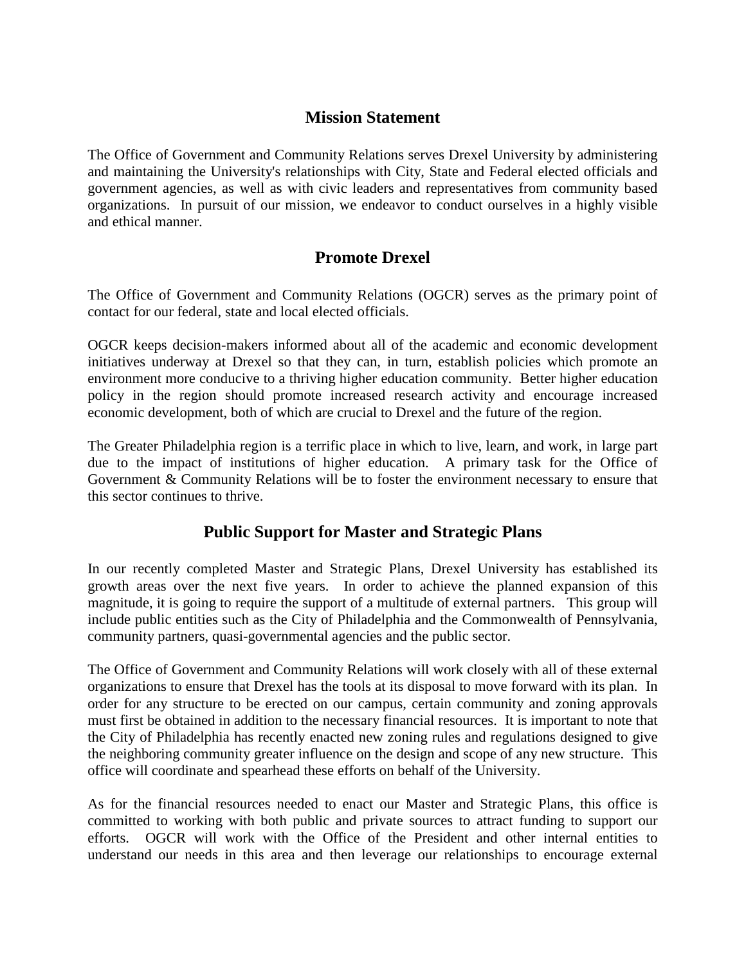#### **Mission Statement**

The Office of Government and Community Relations serves Drexel University by administering and maintaining the University's relationships with City, State and Federal elected officials and government agencies, as well as with civic leaders and representatives from community based organizations. In pursuit of our mission, we endeavor to conduct ourselves in a highly visible and ethical manner.

### **Promote Drexel**

The Office of Government and Community Relations (OGCR) serves as the primary point of contact for our federal, state and local elected officials.

OGCR keeps decision-makers informed about all of the academic and economic development initiatives underway at Drexel so that they can, in turn, establish policies which promote an environment more conducive to a thriving higher education community. Better higher education policy in the region should promote increased research activity and encourage increased economic development, both of which are crucial to Drexel and the future of the region.

The Greater Philadelphia region is a terrific place in which to live, learn, and work, in large part due to the impact of institutions of higher education. A primary task for the Office of Government & Community Relations will be to foster the environment necessary to ensure that this sector continues to thrive.

# **Public Support for Master and Strategic Plans**

In our recently completed Master and Strategic Plans, Drexel University has established its growth areas over the next five years. In order to achieve the planned expansion of this magnitude, it is going to require the support of a multitude of external partners. This group will include public entities such as the City of Philadelphia and the Commonwealth of Pennsylvania, community partners, quasi-governmental agencies and the public sector.

The Office of Government and Community Relations will work closely with all of these external organizations to ensure that Drexel has the tools at its disposal to move forward with its plan. In order for any structure to be erected on our campus, certain community and zoning approvals must first be obtained in addition to the necessary financial resources. It is important to note that the City of Philadelphia has recently enacted new zoning rules and regulations designed to give the neighboring community greater influence on the design and scope of any new structure. This office will coordinate and spearhead these efforts on behalf of the University.

As for the financial resources needed to enact our Master and Strategic Plans, this office is committed to working with both public and private sources to attract funding to support our efforts. OGCR will work with the Office of the President and other internal entities to understand our needs in this area and then leverage our relationships to encourage external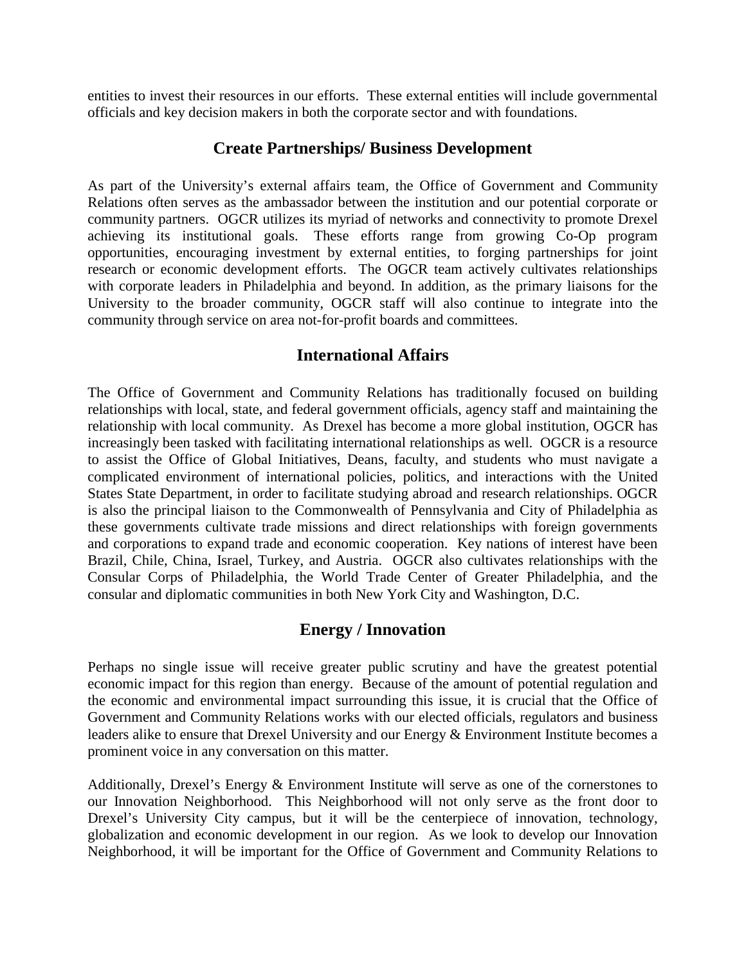entities to invest their resources in our efforts. These external entities will include governmental officials and key decision makers in both the corporate sector and with foundations.

#### **Create Partnerships/ Business Development**

As part of the University's external affairs team, the Office of Government and Community Relations often serves as the ambassador between the institution and our potential corporate or community partners. OGCR utilizes its myriad of networks and connectivity to promote Drexel achieving its institutional goals. These efforts range from growing Co-Op program opportunities, encouraging investment by external entities, to forging partnerships for joint research or economic development efforts. The OGCR team actively cultivates relationships with corporate leaders in Philadelphia and beyond. In addition, as the primary liaisons for the University to the broader community, OGCR staff will also continue to integrate into the community through service on area not-for-profit boards and committees.

#### **International Affairs**

The Office of Government and Community Relations has traditionally focused on building relationships with local, state, and federal government officials, agency staff and maintaining the relationship with local community. As Drexel has become a more global institution, OGCR has increasingly been tasked with facilitating international relationships as well. OGCR is a resource to assist the Office of Global Initiatives, Deans, faculty, and students who must navigate a complicated environment of international policies, politics, and interactions with the United States State Department, in order to facilitate studying abroad and research relationships. OGCR is also the principal liaison to the Commonwealth of Pennsylvania and City of Philadelphia as these governments cultivate trade missions and direct relationships with foreign governments and corporations to expand trade and economic cooperation. Key nations of interest have been Brazil, Chile, China, Israel, Turkey, and Austria. OGCR also cultivates relationships with the Consular Corps of Philadelphia, the World Trade Center of Greater Philadelphia, and the consular and diplomatic communities in both New York City and Washington, D.C.

#### **Energy / Innovation**

Perhaps no single issue will receive greater public scrutiny and have the greatest potential economic impact for this region than energy. Because of the amount of potential regulation and the economic and environmental impact surrounding this issue, it is crucial that the Office of Government and Community Relations works with our elected officials, regulators and business leaders alike to ensure that Drexel University and our Energy & Environment Institute becomes a prominent voice in any conversation on this matter.

Additionally, Drexel's Energy & Environment Institute will serve as one of the cornerstones to our Innovation Neighborhood. This Neighborhood will not only serve as the front door to Drexel's University City campus, but it will be the centerpiece of innovation, technology, globalization and economic development in our region. As we look to develop our Innovation Neighborhood, it will be important for the Office of Government and Community Relations to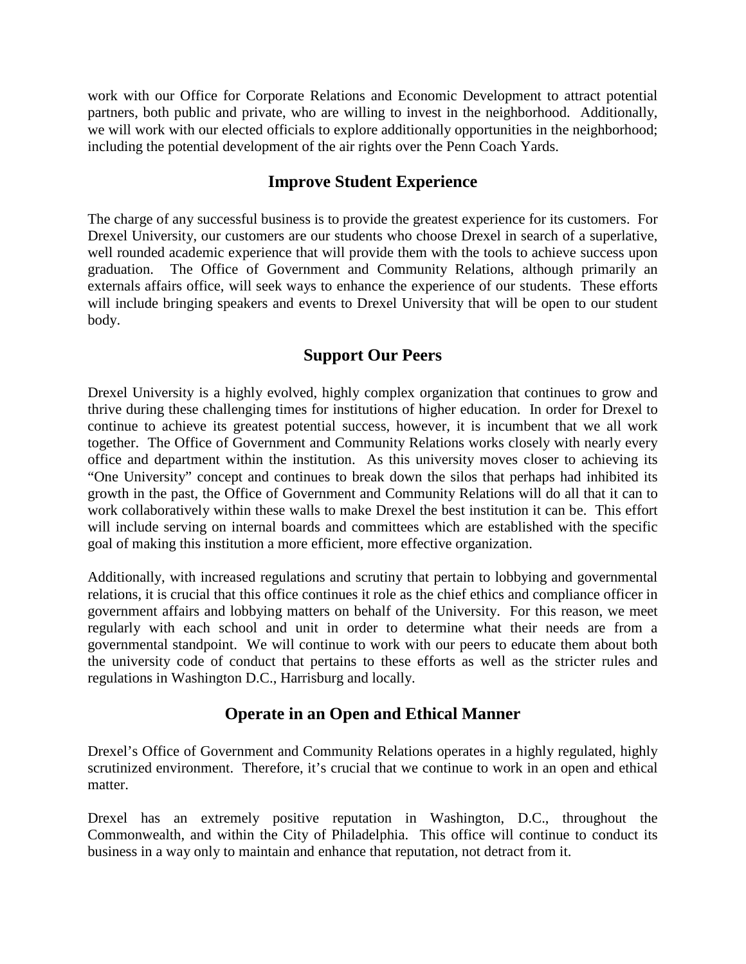work with our Office for Corporate Relations and Economic Development to attract potential partners, both public and private, who are willing to invest in the neighborhood. Additionally, we will work with our elected officials to explore additionally opportunities in the neighborhood; including the potential development of the air rights over the Penn Coach Yards.

#### **Improve Student Experience**

The charge of any successful business is to provide the greatest experience for its customers. For Drexel University, our customers are our students who choose Drexel in search of a superlative, well rounded academic experience that will provide them with the tools to achieve success upon graduation. The Office of Government and Community Relations, although primarily an externals affairs office, will seek ways to enhance the experience of our students. These efforts will include bringing speakers and events to Drexel University that will be open to our student body.

# **Support Our Peers**

Drexel University is a highly evolved, highly complex organization that continues to grow and thrive during these challenging times for institutions of higher education. In order for Drexel to continue to achieve its greatest potential success, however, it is incumbent that we all work together. The Office of Government and Community Relations works closely with nearly every office and department within the institution. As this university moves closer to achieving its "One University" concept and continues to break down the silos that perhaps had inhibited its growth in the past, the Office of Government and Community Relations will do all that it can to work collaboratively within these walls to make Drexel the best institution it can be. This effort will include serving on internal boards and committees which are established with the specific goal of making this institution a more efficient, more effective organization.

Additionally, with increased regulations and scrutiny that pertain to lobbying and governmental relations, it is crucial that this office continues it role as the chief ethics and compliance officer in government affairs and lobbying matters on behalf of the University. For this reason, we meet regularly with each school and unit in order to determine what their needs are from a governmental standpoint. We will continue to work with our peers to educate them about both the university code of conduct that pertains to these efforts as well as the stricter rules and regulations in Washington D.C., Harrisburg and locally.

# **Operate in an Open and Ethical Manner**

Drexel's Office of Government and Community Relations operates in a highly regulated, highly scrutinized environment. Therefore, it's crucial that we continue to work in an open and ethical matter.

Drexel has an extremely positive reputation in Washington, D.C., throughout the Commonwealth, and within the City of Philadelphia. This office will continue to conduct its business in a way only to maintain and enhance that reputation, not detract from it.